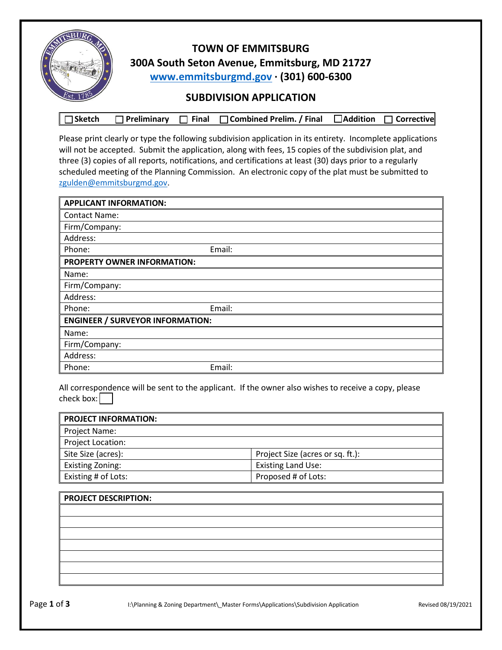

## **TOWN OF EMMITSBURG 300A South Seton Avenue, Emmitsburg, MD 21727 [www.emmitsburgmd.gov](http://www.emmitsburgmd.gov/) · (301) 600-6300**

## **SUBDIVISION APPLICATION**

|  |  |  | □Sketch □ Preliminary □ Final □ Combined Prelim. / Final □ Addition □ Corrective |  |  |
|--|--|--|----------------------------------------------------------------------------------|--|--|
|--|--|--|----------------------------------------------------------------------------------|--|--|

Please print clearly or type the following subdivision application in its entirety. Incomplete applications will not be accepted. Submit the application, along with fees, 15 copies of the subdivision plat, and three (3) copies of all reports, notifications, and certifications at least (30) days prior to a regularly scheduled meeting of the Planning Commission. An electronic copy of the plat must be submitted to [zgulden@emmitsburgmd.gov.](mailto:zgulden@emmitsburgmd.gov)

| <b>APPLICANT INFORMATION:</b>           |        |
|-----------------------------------------|--------|
| <b>Contact Name:</b>                    |        |
| Firm/Company:                           |        |
| Address:                                |        |
| Phone:                                  | Email: |
| PROPERTY OWNER INFORMATION:             |        |
| Name:                                   |        |
| Firm/Company:                           |        |
| Address:                                |        |
| Phone:                                  | Email: |
| <b>ENGINEER / SURVEYOR INFORMATION:</b> |        |
| Name:                                   |        |
| Firm/Company:                           |        |
| Address:                                |        |
| Phone:                                  | Email: |

All correspondence will be sent to the applicant. If the owner also wishes to receive a copy, please check box:

| <b>PROJECT INFORMATION:</b> |                                  |
|-----------------------------|----------------------------------|
| <b>Project Name:</b>        |                                  |
| Project Location:           |                                  |
| Site Size (acres):          | Project Size (acres or sq. ft.): |
| <b>Existing Zoning:</b>     | <b>Existing Land Use:</b>        |
| Existing # of Lots:         | Proposed # of Lots:              |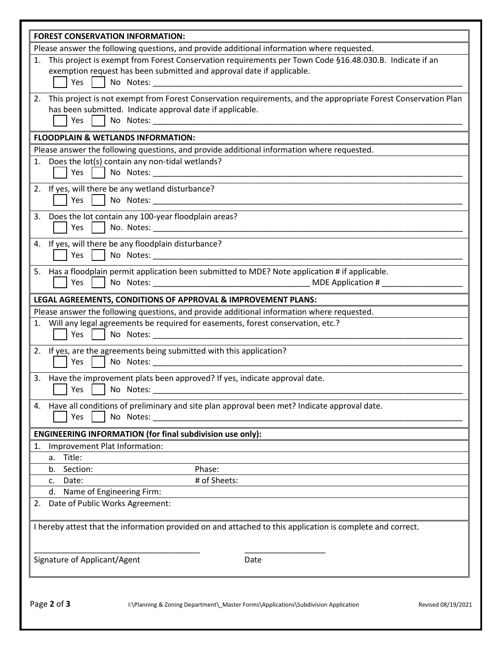|    | <b>FOREST CONSERVATION INFORMATION:</b>                                                                                                                                                                                                                                                                                                                                                                              |
|----|----------------------------------------------------------------------------------------------------------------------------------------------------------------------------------------------------------------------------------------------------------------------------------------------------------------------------------------------------------------------------------------------------------------------|
|    | Please answer the following questions, and provide additional information where requested.                                                                                                                                                                                                                                                                                                                           |
|    | This project is exempt from Forest Conservation requirements per Town Code §16.48.030.B. Indicate if an<br>exemption request has been submitted and approval date if applicable.<br>Yes<br>No Notes:                                                                                                                                                                                                                 |
| 2. | This project is not exempt from Forest Conservation requirements, and the appropriate Forest Conservation Plan<br>has been submitted. Indicate approval date if applicable.<br>No Notes: No Notes: No Notes: No Notes: No Notes: No Notes: No Notes: No Notes: No Notes: No Notes: No Notes: No Notes: No Notes: No Notes: No Notes: No Notes: No Notes: No Notes: No Notes: No Notes: No Notes: No Notes: No<br>Yes |
|    | <b>FLOODPLAIN &amp; WETLANDS INFORMATION:</b>                                                                                                                                                                                                                                                                                                                                                                        |
|    | Please answer the following questions, and provide additional information where requested.                                                                                                                                                                                                                                                                                                                           |
|    | 1. Does the lot(s) contain any non-tidal wetlands?<br>Yes<br>No Notes: No Notes:                                                                                                                                                                                                                                                                                                                                     |
|    | 2. If yes, will there be any wetland disturbance?<br>Yes<br>No Notes: No Notes:                                                                                                                                                                                                                                                                                                                                      |
|    | 3. Does the lot contain any 100-year floodplain areas?<br>Yes                                                                                                                                                                                                                                                                                                                                                        |
|    | 4. If yes, will there be any floodplain disturbance?<br>Yes                                                                                                                                                                                                                                                                                                                                                          |
|    | 5. Has a floodplain permit application been submitted to MDE? Note application # if applicable.<br>Yes                                                                                                                                                                                                                                                                                                               |
|    | LEGAL AGREEMENTS, CONDITIONS OF APPROVAL & IMPROVEMENT PLANS:                                                                                                                                                                                                                                                                                                                                                        |
|    | Please answer the following questions, and provide additional information where requested.                                                                                                                                                                                                                                                                                                                           |
|    | 1. Will any legal agreements be required for easements, forest conservation, etc.?<br>Yes<br>No Notes: No Notes:                                                                                                                                                                                                                                                                                                     |
|    | 2. If yes, are the agreements being submitted with this application?<br>Yes                                                                                                                                                                                                                                                                                                                                          |
|    | 3. Have the improvement plats been approved? If yes, indicate approval date.<br>Yes<br>No Notes:                                                                                                                                                                                                                                                                                                                     |
|    | 4. Have all conditions of preliminary and site plan approval been met? Indicate approval date.<br>Yes<br>No Notes:                                                                                                                                                                                                                                                                                                   |
|    | <b>ENGINEERING INFORMATION (for final subdivision use only):</b>                                                                                                                                                                                                                                                                                                                                                     |
| 1. | Improvement Plat Information:                                                                                                                                                                                                                                                                                                                                                                                        |
|    | Title:<br>a.                                                                                                                                                                                                                                                                                                                                                                                                         |
|    | Section:<br>Phase:<br>b.                                                                                                                                                                                                                                                                                                                                                                                             |
|    | # of Sheets:<br>Date:<br>c.                                                                                                                                                                                                                                                                                                                                                                                          |
| 2. | Name of Engineering Firm:<br>d.<br>Date of Public Works Agreement:                                                                                                                                                                                                                                                                                                                                                   |
|    | I hereby attest that the information provided on and attached to this application is complete and correct.                                                                                                                                                                                                                                                                                                           |
|    | Signature of Applicant/Agent<br>Date                                                                                                                                                                                                                                                                                                                                                                                 |